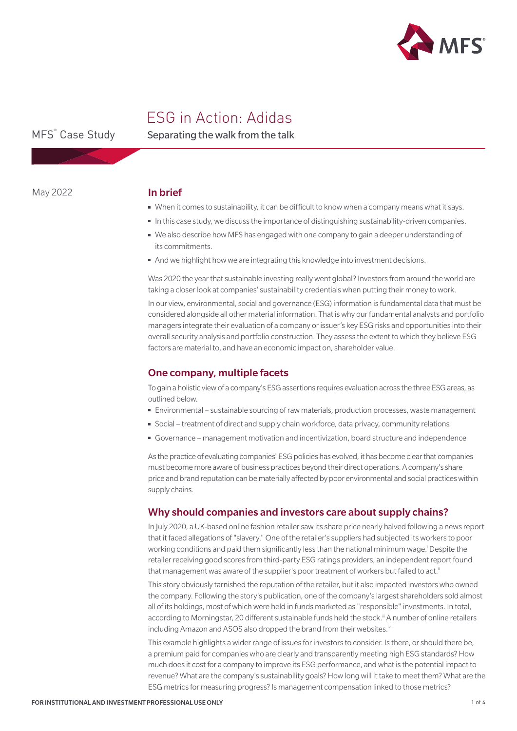

# ESG in Action: Adidas

MFS<sup>®</sup> Case Study

Separating the walk from the talk

May 2022

## In brief

- When it comes to sustainability, it can be difficult to know when a company means what it says.
- In this case study, we discuss the importance of distinguishing sustainability-driven companies.
- We also describe how MFS has engaged with one company to gain a deeper understanding of its commitments.
- And we highlight how we are integrating this knowledge into investment decisions.

Was 2020 the year that sustainable investing really went global? Investors from around the world are taking a closer look at companies' sustainability credentials when putting their money to work.

In our view, environmental, social and governance (ESG) information is fundamental data that must be considered alongside all other material information. That is why our fundamental analysts and portfolio managers integrate their evaluation of a company or issuer's key ESG risks and opportunities into their overall security analysis and portfolio construction. They assess the extent to which they believe ESG factors are material to, and have an economic impact on, shareholder value.

## One company, multiple facets

To gain a holistic view of a company's ESG assertions requires evaluation across the three ESG areas, as outlined below.

- Environmental sustainable sourcing of raw materials, production processes, waste management
- Social treatment of direct and supply chain workforce, data privacy, community relations
- Governance management motivation and incentivization, board structure and independence

As the practice of evaluating companies' ESG policies has evolved, it has become clear that companies must become more aware of business practices beyond their direct operations. A company's share price and brand reputation can be materially affected by poor environmental and social practices within supply chains.

## Why should companies and investors care about supply chains?

In July 2020, a UK-based online fashion retailer saw its share price nearly halved following a news report that it faced allegations of "slavery." One of the retailer's suppliers had subjected its workers to poor working conditions and paid them significantly less than the national minimum wage.<sup>†</sup> Despite the retailer receiving good scores from third-party ESG ratings providers, an independent report found that management was aware of the supplier's poor treatment of workers but failed to act.<sup>ii</sup>

This story obviously tarnished the reputation of the retailer, but it also impacted investors who owned the company. Following the story's publication, one of the company's largest shareholders sold almost all of its holdings, most of which were held in funds marketed as "responsible" investments. In total, according to Morningstar, 20 different sustainable funds held the stock.<sup>iii</sup> A number of online retailers including Amazon and ASOS also dropped the brand from their websites.iv

This example highlights a wider range of issues for investors to consider. Is there, or should there be, a premium paid for companies who are clearly and transparently meeting high ESG standards? How much does it cost for a company to improve its ESG performance, and what is the potential impact to revenue? What are the company's sustainability goals? How long will it take to meet them? What are the ESG metrics for measuring progress? Is management compensation linked to those metrics?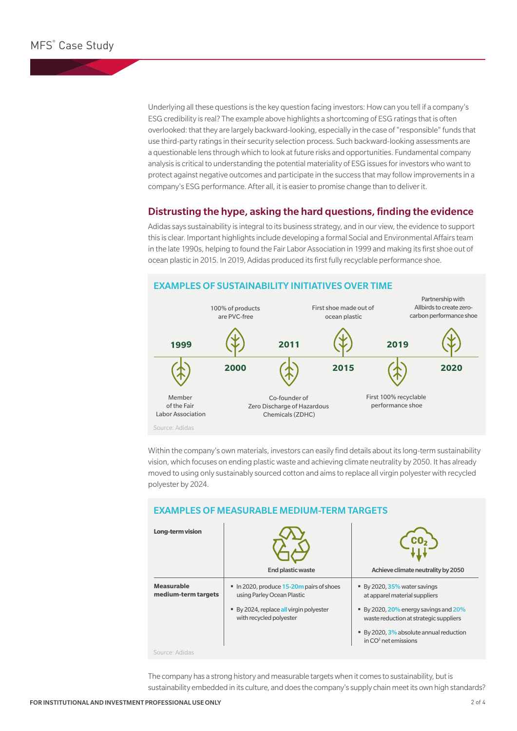Underlying all these questions is the key question facing investors: How can you tell if a company's ESG credibility is real? The example above highlights a shortcoming of ESG ratings that is often overlooked: that they are largely backward-looking, especially in the case of "responsible" funds that use third-party ratings in their security selection process. Such backward-looking assessments are a questionable lens through which to look at future risks and opportunities. Fundamental company analysis is critical to understanding the potential materiality of ESG issues for investors who want to protect against negative outcomes and participate in the success that may follow improvements in a company's ESG performance. After all, it is easier to promise change than to deliver it.

## Distrusting the hype, asking the hard questions, finding the evidence

Adidas says sustainability is integral to its business strategy, and in our view, the evidence to support this is clear. Important highlights include developing a formal Social and Environmental Affairs team in the late 1990s, helping to found the Fair Labor Association in 1999 and making its first shoe out of ocean plastic in 2015. In 2019, Adidas produced its first fully recyclable performance shoe.



Within the company's own materials, investors can easily find details about its long-term sustainability vision, which focuses on ending plastic waste and achieving climate neutrality by 2050. It has already moved to using only sustainably sourced cotton and aims to replace all virgin polyester with recycled polyester by 2024.

| Long-term vision                         | End plastic waste                                                    | Achieve climate neutrality by 2050                                              |
|------------------------------------------|----------------------------------------------------------------------|---------------------------------------------------------------------------------|
| <b>Measurable</b><br>medium-term targets | In 2020, produce 15-20m pairs of shoes<br>using Parley Ocean Plastic | ■ By 2020, 35% water savings<br>at apparel material suppliers                   |
|                                          | By 2024, replace all virgin polyester<br>with recycled polyester     | ■ By 2020, 20% energy savings and 20%<br>waste reduction at strategic suppliers |
|                                          |                                                                      | ■ By 2020, 3% absolute annual reduction<br>in $CO2$ net emissions               |
| Source: Adidas                           |                                                                      |                                                                                 |

## EXAMPLES OF MEASURABLE MEDIUM-TERM TARGETS

The company has a strong history and measurable targets when it comes to sustainability, but is sustainability embedded in its culture, and does the company's supply chain meet its own high standards?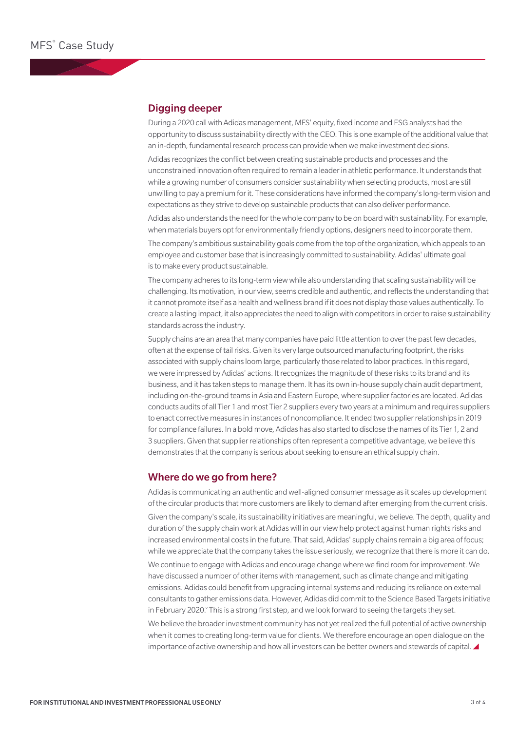## Digging deeper

During a 2020 call with Adidas management, MFS' equity, fixed income and ESG analysts had the opportunity to discuss sustainability directly with the CEO. This is one example of the additional value that an in-depth, fundamental research process can provide when we make investment decisions.

Adidas recognizes the conflict between creating sustainable products and processes and the unconstrained innovation often required to remain a leader in athletic performance. It understands that while a growing number of consumers consider sustainability when selecting products, most are still unwilling to pay a premium for it. These considerations have informed the company's long-term vision and expectations as they strive to develop sustainable products that can also deliver performance.

Adidas also understands the need for the whole company to be on board with sustainability. For example, when materials buyers opt for environmentally friendly options, designers need to incorporate them.

The company's ambitious sustainability goals come from the top of the organization, which appeals to an employee and customer base that is increasingly committed to sustainability. Adidas' ultimate goal is to make every product sustainable.

The company adheres to its long-term view while also understanding that scaling sustainability will be challenging. Its motivation, in our view, seems credible and authentic, and reflects the understanding that it cannot promote itself as a health and wellness brand if it does not display those values authentically. To create a lasting impact, it also appreciates the need to align with competitors in order to raise sustainability standards across the industry.

Supply chains are an area that many companies have paid little attention to over the past few decades, often at the expense of tail risks. Given its very large outsourced manufacturing footprint, the risks associated with supply chains loom large, particularly those related to labor practices. In this regard, we were impressed by Adidas' actions. It recognizes the magnitude of these risks to its brand and its business, and it has taken steps to manage them. It has its own in-house supply chain audit department, including on-the-ground teams in Asia and Eastern Europe, where supplier factories are located. Adidas conducts audits of all Tier 1 and most Tier 2 suppliers every two years at a minimum and requires suppliers to enact corrective measures in instances of noncompliance. It ended two supplier relationships in 2019 for compliance failures. In a bold move, Adidas has also started to disclose the names of its Tier 1, 2 and 3 suppliers. Given that supplier relationships often represent a competitive advantage, we believe this demonstrates that the company is serious about seeking to ensure an ethical supply chain.

#### Where do we go from here?

Adidas is communicating an authentic and well-aligned consumer message as it scales up development of the circular products that more customers are likely to demand after emerging from the current crisis. Given the company's scale, its sustainability initiatives are meaningful, we believe. The depth, quality and duration of the supply chain work at Adidas will in our view help protect against human rights risks and

increased environmental costs in the future. That said, Adidas' supply chains remain a big area of focus; while we appreciate that the company takes the issue seriously, we recognize that there is more it can do. We continue to engage with Adidas and encourage change where we find room for improvement. We have discussed a number of other items with management, such as climate change and mitigating emissions. Adidas could benefit from upgrading internal systems and reducing its reliance on external consultants to gather emissions data. However, Adidas did commit to the Science Based Targets initiative

We believe the broader investment community has not yet realized the full potential of active ownership when it comes to creating long-term value for clients. We therefore encourage an open dialogue on the importance of active ownership and how all investors can be better owners and stewards of capital.

in February 2020. This is a strong first step, and we look forward to seeing the targets they set.